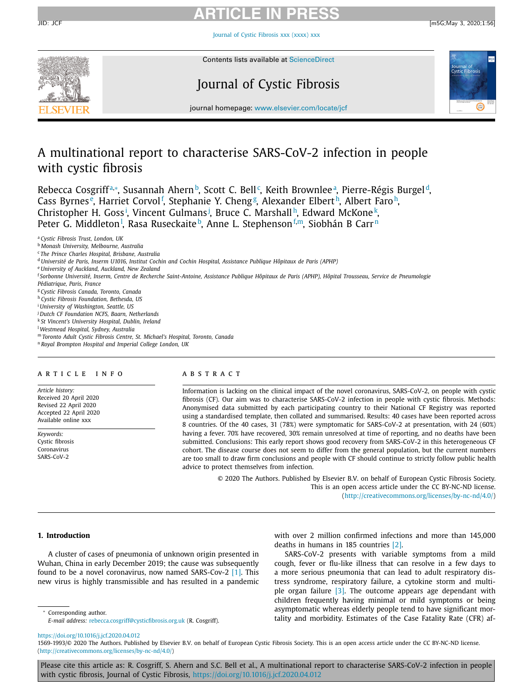# **ARTICLE IN PRESS**

Journal of Cystic [Fibrosis](https://doi.org/10.1016/j.jcf.2020.04.012) xxx (xxxx) xxx



Contents lists available at [ScienceDirect](http://www.ScienceDirect.com)

## Journal of Cystic Fibrosis



journal homepage: [www.elsevier.com/locate/jcf](http://www.elsevier.com/locate/jcf)

## A multinational report to characterise SARS-CoV-2 infection in people with cystic fibrosis

Rebecca Cosgriffª,\*, Susannah Ahern b, Scott C. Bell°, Keith Brownleeª, Pierre-Régis Burgel d, Cass Byrnes<sup>e</sup>, Harriet Corvol<sup>f</sup>, Stephanie Y. Cheng<sup>g</sup>, Alexander Elbert<sup>h</sup>, Albert Faro<sup>h</sup>, Christopher H. Goss<sup>i</sup>, Vincent Gulmans<sup>j</sup>, Bruce C. Marshall<sup>h</sup>, Edward McKone<sup>k</sup>, Peter G. Middleton<sup>1</sup>, Rasa Ruseckaite<sup> b</sup>, Anne L. Stephenson<sup>f,m</sup>, Siobhán B Carr<sup>n</sup>

<sup>e</sup> *University of Auckland, Auckland, New Zealand*

<sup>f</sup> Sorbonne Université, Inserm, Centre de Recherche Saint-Antoine, Assistance Publique Hôpitaux de Paris (APHP), Hôpital Trousseau, Service de Pneumologie *Pédiatrique, Paris, France*

<sup>g</sup> *Cystic Fibrosis Canada, Toronto, Canada*

<sup>h</sup> *Cystic Fibrosis Foundation, Bethesda, US*

- <sup>i</sup> *University of Washington, Seattle, US*
- <sup>j</sup> *Dutch CF Foundation NCFS, Baarn, Netherlands*

<sup>k</sup> *St Vincent's University Hospital, Dublin, Ireland*

<sup>l</sup> *Westmead Hospital, Sydney, Australia*

<sup>m</sup> *Toronto Adult Cystic Fibrosis Centre, St. Michael's Hospital, Toronto, Canada*

<sup>n</sup> *Royal Brompton Hospital and Imperial College London, UK*

### a r t i c l e i n f o

*Article history:* Received 20 April 2020 Revised 22 April 2020 Accepted 22 April 2020 Available online xxx

*Keywords:* Cystic fibrosis Coronavirus SARS-CoV-2

## A B S T R A C T

Information is lacking on the clinical impact of the novel coronavirus, SARS-CoV-2, on people with cystic fibrosis (CF). Our aim was to characterise SARS-CoV-2 infection in people with cystic fibrosis. Methods: Anonymised data submitted by each participating country to their National CF Registry was reported using a standardised template, then collated and summarised. Results: 40 cases have been reported across 8 countries. Of the 40 cases, 31 (78%) were symptomatic for SARS-CoV-2 at presentation, with 24 (60%) having a fever. 70% have recovered, 30% remain unresolved at time of reporting, and no deaths have been submitted. Conclusions: This early report shows good recovery from SARS-CoV-2 in this heterogeneous CF cohort. The disease course does not seem to differ from the general population, but the current numbers are too small to draw firm conclusions and people with CF should continue to strictly follow public health advice to protect themselves from infection.

> © 2020 The Authors. Published by Elsevier B.V. on behalf of European Cystic Fibrosis Society. This is an open access article under the CC BY-NC-ND license. [\(http://creativecommons.org/licenses/by-nc-nd/4.0/\)](http://creativecommons.org/licenses/by-nc-nd/4.0/)

## **1. Introduction**

A cluster of cases of pneumonia of unknown origin presented in Wuhan, China in early December 2019; the cause was subsequently found to be a novel coronavirus, now named SARS-Cov-2 [\[1\].](#page-3-0) This new virus is highly transmissible and has resulted in a pandemic

Corresponding author.

with over 2 million confirmed infections and more than 145,000 deaths in humans in 185 countries [\[2\].](#page-3-0)

SARS-CoV-2 presents with variable symptoms from a mild cough, fever or flu-like illness that can resolve in a few days to a more serious pneumonia that can lead to adult respiratory distress syndrome, respiratory failure, a cytokine storm and multiple organ failure [\[3\].](#page-3-0) The outcome appears age dependant with children frequently having minimal or mild symptoms or being asymptomatic whereas elderly people tend to have significant mortality and morbidity. Estimates of the Case Fatality Rate (CFR) af-

<https://doi.org/10.1016/j.jcf.2020.04.012>

Please cite this article as: R. Cosgriff, S. Ahern and S.C. Bell et al., A multinational report to characterise SARS-CoV-2 infection in people with cystic fibrosis, Journal of Cystic Fibrosis, <https://doi.org/10.1016/j.jcf.2020.04.012>

<sup>a</sup> *Cystic Fibrosis Trust, London, UK*

<sup>b</sup> *Monash University, Melbourne, Australia*

<sup>c</sup> *The Prince Charles Hospital, Brisbane, Australia*

<sup>d</sup> *Université de Paris, Inserm U1016, Institut Cochin and Cochin Hospital, Assistance Publique Hôpitaux de Paris (APHP)*

*E-mail address:* [rebecca.cosgriff@cysticfibrosis.org.uk](mailto:rebecca.cosgriff@cysticfibrosis.org.uk) (R. Cosgriff).

<sup>1569-1993/© 2020</sup> The Authors. Published by Elsevier B.V. on behalf of European Cystic Fibrosis Society. This is an open access article under the CC BY-NC-ND license. [\(http://creativecommons.org/licenses/by-nc-nd/4.0/\)](http://creativecommons.org/licenses/by-nc-nd/4.0/)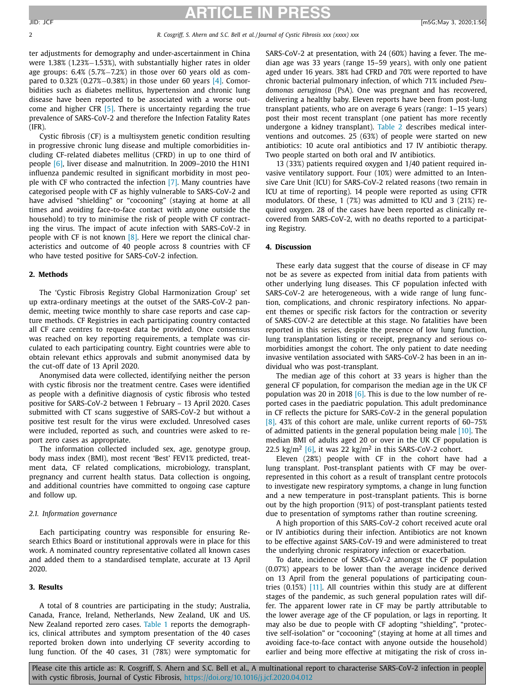## **ARTICLE IN PRESS** JID: JCF [m5G;May 3, 2020;1:56]

2 *R. Cosgriff, S. Ahern and S.C. Bell et al. / Journal of Cystic Fibrosis xxx (xxxx) xxx*

ter adjustments for demography and under-ascertainment in China were 1.38% (1.23%−1.53%), with substantially higher rates in older age groups: 6.4% (5.7%−7.2%) in those over 60 years old as compared to 0.32% (0.27%−0.38%) in those under 60 years [\[4\].](#page-3-0) Comorbidities such as diabetes mellitus, hypertension and chronic lung disease have been reported to be associated with a worse outcome and higher CFR  $[5]$ . There is uncertainty regarding the true prevalence of SARS-CoV-2 and therefore the Infection Fatality Rates (IFR).

Cystic fibrosis (CF) is a multisystem genetic condition resulting in progressive chronic lung disease and multiple comorbidities including CF-related diabetes mellitus (CFRD) in up to one third of people [\[6\],](#page-3-0) liver disease and malnutrition. In 2009–2010 the H1N1 influenza pandemic resulted in significant morbidity in most people with CF who contracted the infection [\[7\].](#page-3-0) Many countries have categorised people with CF as highly vulnerable to SARS-CoV-2 and have advised "shielding" or "cocooning" (staying at home at all times and avoiding face-to-face contact with anyone outside the household) to try to minimise the risk of people with CF contracting the virus. The impact of acute infection with SARS-CoV-2 in people with CF is not known  $[8]$ . Here we report the clinical characteristics and outcome of 40 people across 8 countries with CF who have tested positive for SARS-CoV-2 infection.

## **2. Methods**

The 'Cystic Fibrosis Registry Global Harmonization Group' set up extra-ordinary meetings at the outset of the SARS-CoV-2 pandemic, meeting twice monthly to share case reports and case capture methods. CF Registries in each participating country contacted all CF care centres to request data be provided. Once consensus was reached on key reporting requirements, a template was circulated to each participating country. Eight countries were able to obtain relevant ethics approvals and submit anonymised data by the cut-off date of 13 April 2020.

Anonymised data were collected, identifying neither the person with cystic fibrosis nor the treatment centre. Cases were identified as people with a definitive diagnosis of cystic fibrosis who tested positive for SARS-CoV-2 between 1 February – 13 April 2020. Cases submitted with CT scans suggestive of SARS-CoV-2 but without a positive test result for the virus were excluded. Unresolved cases were included, reported as such, and countries were asked to report zero cases as appropriate.

The information collected included sex, age, genotype group, body mass index (BMI), most recent 'Best' FEV1% predicted, treatment data, CF related complications, microbiology, transplant, pregnancy and current health status. Data collection is ongoing, and additional countries have committed to ongoing case capture and follow up.

## *2.1. Information governance*

Each participating country was responsible for ensuring Research Ethics Board or institutional approvals were in place for this work. A nominated country representative collated all known cases and added them to a standardised template, accurate at 13 April 2020.

## **3. Results**

A total of 8 countries are participating in the study; Australia, Canada, France, Ireland, Netherlands, New Zealand, UK and US. New Zealand reported zero cases. [Table](#page-2-0) 1 reports the demographics, clinical attributes and symptom presentation of the 40 cases reported broken down into underlying CF severity according to lung function. Of the 40 cases, 31 (78%) were symptomatic for SARS-CoV-2 at presentation, with 24 (60%) having a fever. The median age was 33 years (range 15–59 years), with only one patient aged under 16 years. 38% had CFRD and 70% were reported to have chronic bacterial pulmonary infection, of which 71% included *Pseudomonas aeruginosa* (PsA). One was pregnant and has recovered, delivering a healthy baby. Eleven reports have been from post-lung transplant patients, who are on average 6 years (range: 1–15 years) post their most recent transplant (one patient has more recently undergone a kidney transplant). [Table](#page-2-0) 2 describes medical interventions and outcomes. 25 (63%) of people were started on new antibiotics: 10 acute oral antibiotics and 17 IV antibiotic therapy. Two people started on both oral and IV antibiotics.

13 (33%) patients required oxygen and 1/40 patient required invasive ventilatory support. Four (10%) were admitted to an Intensive Care Unit (ICU) for SARS-CoV-2 related reasons (two remain in ICU at time of reporting). 14 people were reported as using CFTR modulators. Of these, 1 (7%) was admitted to ICU and 3 (21%) required oxygen. 28 of the cases have been reported as clinically recovered from SARS-CoV-2, with no deaths reported to a participating Registry.

## **4. Discussion**

These early data suggest that the course of disease in CF may not be as severe as expected from initial data from patients with other underlying lung diseases. This CF population infected with SARS-CoV-2 are heterogeneous, with a wide range of lung function, complications, and chronic respiratory infections. No apparent themes or specific risk factors for the contraction or severity of SARS-COV-2 are detectible at this stage. No fatalities have been reported in this series, despite the presence of low lung function, lung transplantation listing or receipt, pregnancy and serious comorbidities amongst the cohort. The only patient to date needing invasive ventilation associated with SARS-CoV-2 has been in an individual who was post-transplant.

The median age of this cohort at 33 years is higher than the general CF population, for comparison the median age in the UK CF population was 20 in 2018  $[6]$ . This is due to the low number of reported cases in the paediatric population. This adult predominance in CF reflects the picture for SARS-CoV-2 in the general population [\[8\].](#page-3-0) 43% of this cohort are male, unlike current reports of 60–75% of admitted patients in the general population being male [\[10\].](#page-3-0) The median BMI of adults aged 20 or over in the UK CF population is 22.5 kg/m<sup>2</sup> [\[6\],](#page-3-0) it was 22 kg/m<sup>2</sup> in this SARS-CoV-2 cohort.

Eleven (28%) people with CF in the cohort have had a lung transplant. Post-transplant patients with CF may be overrepresented in this cohort as a result of transplant centre protocols to investigate new respiratory symptoms, a change in lung function and a new temperature in post-transplant patients. This is borne out by the high proportion (91%) of post-transplant patients tested due to presentation of symptoms rather than routine screening.

A high proportion of this SARS-CoV-2 cohort received acute oral or IV antibiotics during their infection. Antibiotics are not known to be effective against SARS-CoV-19 and were administered to treat the underlying chronic respiratory infection or exacerbation.

To date, incidence of SARS-CoV-2 amongst the CF population (0.07%) appears to be lower than the average incidence derived on 13 April from the general populations of participating countries (0.15%) [\[11\].](#page-3-0) All countries within this study are at different stages of the pandemic, as such general population rates will differ. The apparent lower rate in CF may be partly attributable to the lower average age of the CF population, or lags in reporting. It may also be due to people with CF adopting "shielding", "protective self-isolation" or "cocooning" (staying at home at all times and avoiding face-to-face contact with anyone outside the household) earlier and being more effective at mitigating the risk of cross in-

Please cite this article as: R. Cosgriff, S. Ahern and S.C. Bell et al., A multinational report to characterise SARS-CoV-2 infection in people with cystic fibrosis, Journal of Cystic Fibrosis, <https://doi.org/10.1016/j.jcf.2020.04.012>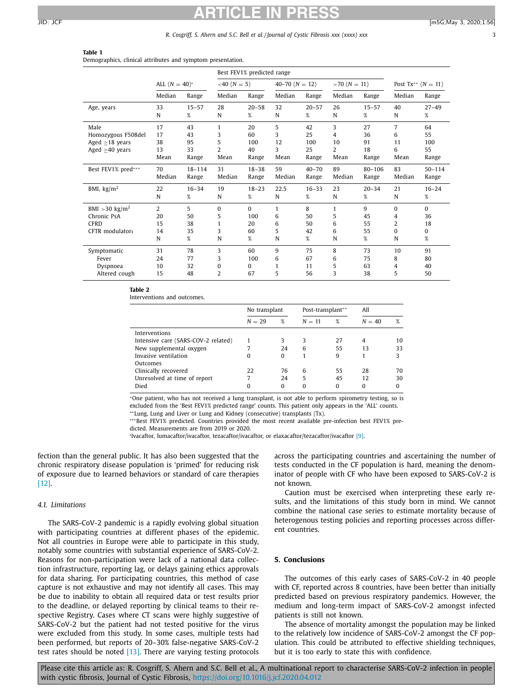## <span id="page-2-0"></span>**ARTICLE IN PRESS** JID: JCF [m5G;May 3, 2020;1:56]

### *R. Cosgriff, S. Ahern and S.C. Bell et al. / Journal of Cystic Fibrosis xxx (xxxx) xxx* 3

| Table 1                                                     |  |  |  |
|-------------------------------------------------------------|--|--|--|
| Demographics, clinical attributes and symptom presentation. |  |  |  |

|                             |                  |            | Best FEV1% predicted range |           |                    |           |                |            |                           |            |
|-----------------------------|------------------|------------|----------------------------|-----------|--------------------|-----------|----------------|------------|---------------------------|------------|
|                             | ALL $(N = 40)^*$ |            | $<40$ (N = 5)              |           | $40-70$ $(N = 12)$ |           | $>70$ (N = 11) |            | Post $Tx^{**}$ $(N = 11)$ |            |
|                             | Median           | Range      | Median                     | Range     | Median             | Range     | Median         | Range      | Median                    | Range      |
| Age, years                  | 33               | $15 - 57$  | 28                         | $20 - 58$ | 32                 | $20 - 57$ | 26             | $15 - 57$  | 40                        | $27 - 49$  |
|                             | N                | %          | N                          | %         | N                  | %         | N              | %          | N                         | %          |
| Male                        | 17               | 43         | 1                          | 20        | 5                  | 42        | 3              | 27         | $\overline{7}$            | 64         |
| Homozygous F508del          | 17               | 43         | 3                          | 60        | 3                  | 25        | 4              | 36         | 6                         | 55         |
| Aged $\geq$ 18 years        | 38               | 95         | 5                          | 100       | 12                 | 100       | 10             | 91         | 11                        | 100        |
| Aged $\geq$ 40 years        | 13               | 33         | $\overline{2}$             | 40        | 3                  | 25        | 2              | 18         | 6                         | 55         |
|                             | Mean             | Range      | Mean                       | Range     | Mean               | Range     | Mean           | Range      | Mean                      | Range      |
| Best FEV1% pred***          | 70               | $18 - 114$ | 31                         | $18 - 38$ | 59                 | $40 - 70$ | 89             | $80 - 106$ | 83                        | $50 - 114$ |
|                             | Median           | Range      | Median                     | Range     | Median             | Range     | Median         | Range      | Median                    | Range      |
| BMI, $\text{kg/m}^2$        | 22               | $16 - 34$  | 19                         | $18 - 23$ | 22.5               | $16 - 33$ | 23             | $20 - 34$  | 21                        | $16 - 24$  |
|                             | N                | $\%$       | N                          | %         | N                  | %         | N              | %          | N                         | $\%$       |
| BMI $>30$ kg/m <sup>2</sup> | $\overline{2}$   | 5          | $\Omega$                   | $\Omega$  | 1                  | 8         | 1              | 9          | $\Omega$                  | $\Omega$   |
| Chronic PsA                 | 20               | 50         | 5                          | 100       | 6                  | 50        | 5              | 45         | 4                         | 36         |
| <b>CFRD</b>                 | 15               | 38         | 1                          | 20        | 6                  | 50        | 6              | 55         | 2                         | 18         |
| CFTR modulator+             | 14               | 35         | 3                          | 60        | 5                  | 42        | 6              | 55         | 0                         | 0          |
|                             | N                | %          | N                          | %         | N                  | %         | N              | $\%$       | N                         | $\%$       |
| Symptomatic                 | 31               | 78         | 3                          | 60        | 9                  | 75        | 8              | 73         | 10                        | 91         |
| Fever                       | 24               | 77         | 3                          | 100       | 6                  | 67        | 6              | 75         | 8                         | 80         |
| Dyspnoea                    | 10               | 32         | 0                          | 0         | 1                  | 11        | 5              | 63         | 4                         | 40         |
| Altered cough               | 15               | 48         | $\overline{2}$             | 67        | 5                  | 56        | 3              | 38         | 5                         | 50         |

**Table 2**

Interventions and outcomes.

|                                     | No transplant |          | Post-transplant** |          | All      |    |
|-------------------------------------|---------------|----------|-------------------|----------|----------|----|
|                                     | $N = 29$      | %        | $N = 11$          | %        | $N = 40$ | %  |
| Interventions                       |               |          |                   |          |          |    |
| Intensive care (SARS-COV-2 related) |               | 3        | 3                 | 27       | 4        | 10 |
| New supplemental oxygen             | 7             | 24       | 6                 | 55       | 13       | 33 |
| Invasive ventilation                | 0             | $\Omega$ |                   | 9        |          |    |
| Outcomes                            |               |          |                   |          |          |    |
| Clinically recovered                | 22            | 76       | 6                 | 55       | 28       | 70 |
| Unresolved at time of report        |               | 24       | 5                 | 45       | 12       | 30 |
| Died                                | 0             | $\Omega$ | 0                 | $\Omega$ | $\Omega$ | 0  |

<sup>∗</sup>One patient, who has not received a lung transplant, is not able to perform spirometry testing, so is excluded from the 'Best FEV1% predicted range' counts. This patient only appears in the 'ALL' counts.

∗∗Lung, Lung and Liver or Lung and Kidney (consecutive) transplants (Tx).

∗∗∗Best FEV1% predicted. Countries provided the most recent available pre-infection best FEV1% predicted. Measurements are from 2019 or 2020.

<sup>1</sup>Ivacaftor, lumacaftor/ivacaftor, tezacaftor/ivacaftor, or elaxacaftor/tezacaftor/ivacaftor [\[9\].](#page-3-0)

fection than the general public. It has also been suggested that the chronic respiratory disease population is 'primed' for reducing risk of exposure due to learned behaviors or standard of care therapies [\[12\].](#page-3-0)

## *4.1. Limitations*

The SARS-CoV-2 pandemic is a rapidly evolving global situation with participating countries at different phases of the epidemic. Not all countries in Europe were able to participate in this study, notably some countries with substantial experience of SARS-CoV-2. Reasons for non-participation were lack of a national data collection infrastructure, reporting lag, or delays gaining ethics approvals for data sharing. For participating countries, this method of case capture is not exhaustive and may not identify all cases. This may be due to inability to obtain all required data or test results prior to the deadline, or delayed reporting by clinical teams to their respective Registry. Cases where CT scans were highly suggestive of SARS-CoV-2 but the patient had not tested positive for the virus were excluded from this study. In some cases, multiple tests had been performed, but reports of 20–30% false-negative SARS-CoV-2 test rates should be noted  $[13]$ . There are varying testing protocols

across the participating countries and ascertaining the number of tests conducted in the CF population is hard, meaning the denominator of people with CF who have been exposed to SARS-CoV-2 is not known.

Caution must be exercised when interpreting these early results, and the limitations of this study born in mind. We cannot combine the national case series to estimate mortality because of heterogenous testing policies and reporting processes across different countries.

## **5. Conclusions**

The outcomes of this early cases of SARS-CoV-2 in 40 people with CF, reported across 8 countries, have been better than initially predicted based on previous respiratory pandemics. However, the medium and long-term impact of SARS-CoV-2 amongst infected patients is still not known.

The absence of mortality amongst the population may be linked to the relatively low incidence of SARS-CoV-2 amongst the CF population. This could be attributed to effective shielding techniques, but it is too early to state this with confidence.

Please cite this article as: R. Cosgriff, S. Ahern and S.C. Bell et al., A multinational report to characterise SARS-CoV-2 infection in people with cystic fibrosis, Journal of Cystic Fibrosis, <https://doi.org/10.1016/j.jcf.2020.04.012>